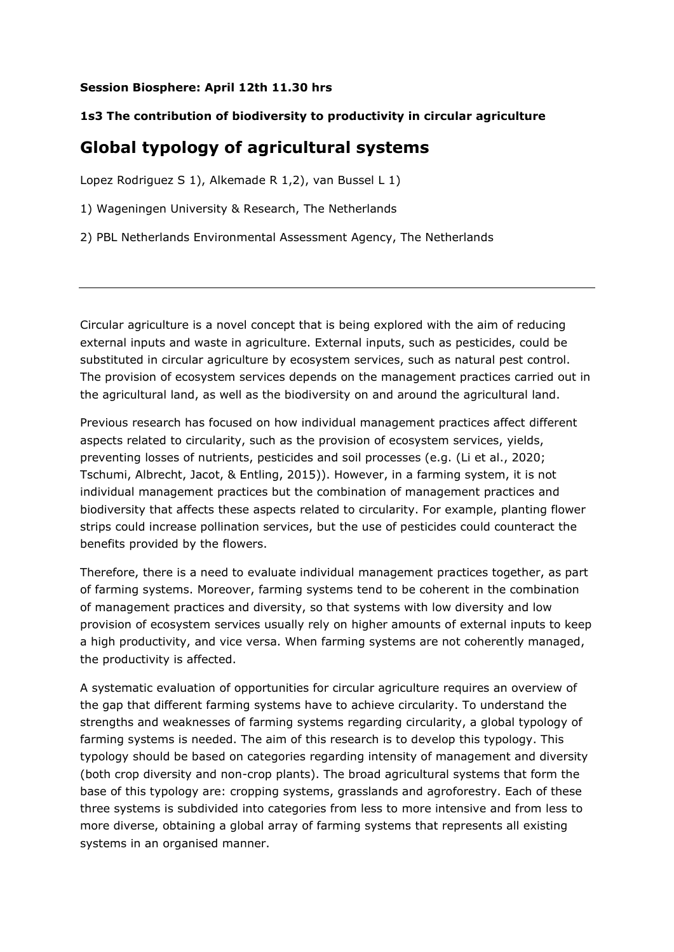## **Session Biosphere: April 12th 11.30 hrs**

## **1s3 The contribution of biodiversity to productivity in circular agriculture**

## **Global typology of agricultural systems**

Lopez Rodriguez S 1), Alkemade R 1,2), van Bussel L 1)

1) Wageningen University & Research, The Netherlands

2) PBL Netherlands Environmental Assessment Agency, The Netherlands

Circular agriculture is a novel concept that is being explored with the aim of reducing external inputs and waste in agriculture. External inputs, such as pesticides, could be substituted in circular agriculture by ecosystem services, such as natural pest control. The provision of ecosystem services depends on the management practices carried out in the agricultural land, as well as the biodiversity on and around the agricultural land.

Previous research has focused on how individual management practices affect different aspects related to circularity, such as the provision of ecosystem services, yields, preventing losses of nutrients, pesticides and soil processes (e.g. (Li et al., 2020; Tschumi, Albrecht, Jacot, & Entling, 2015)). However, in a farming system, it is not individual management practices but the combination of management practices and biodiversity that affects these aspects related to circularity. For example, planting flower strips could increase pollination services, but the use of pesticides could counteract the benefits provided by the flowers.

Therefore, there is a need to evaluate individual management practices together, as part of farming systems. Moreover, farming systems tend to be coherent in the combination of management practices and diversity, so that systems with low diversity and low provision of ecosystem services usually rely on higher amounts of external inputs to keep a high productivity, and vice versa. When farming systems are not coherently managed, the productivity is affected.

A systematic evaluation of opportunities for circular agriculture requires an overview of the gap that different farming systems have to achieve circularity. To understand the strengths and weaknesses of farming systems regarding circularity, a global typology of farming systems is needed. The aim of this research is to develop this typology. This typology should be based on categories regarding intensity of management and diversity (both crop diversity and non-crop plants). The broad agricultural systems that form the base of this typology are: cropping systems, grasslands and agroforestry. Each of these three systems is subdivided into categories from less to more intensive and from less to more diverse, obtaining a global array of farming systems that represents all existing systems in an organised manner.